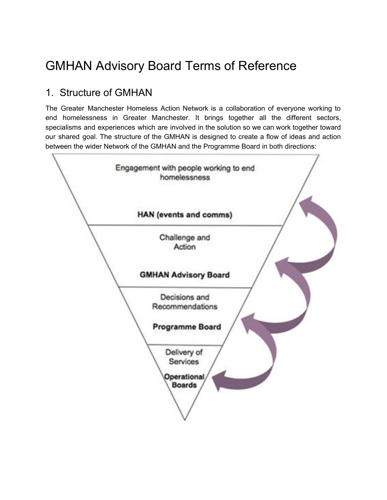# GMHAN Advisory Board Terms of Reference

## 1. Structure of GMHAN

The Greater Manchester Homeless Action Network is a collaboration of everyone working to end homelessness in Greater Manchester. It brings together all the different sectors, specialisms and experiences which are involved in the solution so we can work together toward our shared goal. The structure of the GMHAN is designed to create a flow of ideas and action between the wider Network of the GMHAN and the Programme Board in both directions:

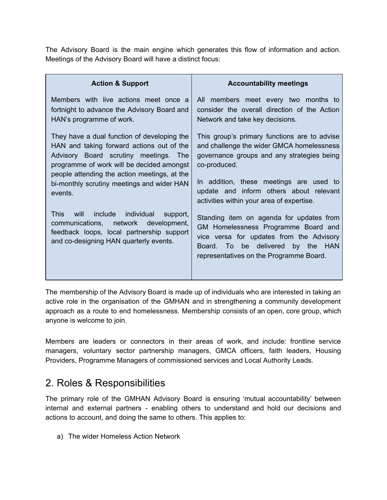The Advisory Board is the main engine which generates this flow of information and action. Meetings of the Advisory Board will have a distinct focus:

| <b>Action &amp; Support</b>                                                                                                                                                             | <b>Accountability meetings</b>                                                                                                                                                                              |
|-----------------------------------------------------------------------------------------------------------------------------------------------------------------------------------------|-------------------------------------------------------------------------------------------------------------------------------------------------------------------------------------------------------------|
| Members with live actions meet once a                                                                                                                                                   | All members meet every two months to                                                                                                                                                                        |
| fortnight to advance the Advisory Board and                                                                                                                                             | consider the overall direction of the Action                                                                                                                                                                |
| HAN's programme of work.                                                                                                                                                                | Network and take key decisions.                                                                                                                                                                             |
| They have a dual function of developing the                                                                                                                                             | This group's primary functions are to advise                                                                                                                                                                |
| HAN and taking forward actions out of the                                                                                                                                               | and challenge the wider GMCA homelessness                                                                                                                                                                   |
| Advisory Board scrutiny meetings. The                                                                                                                                                   | governance groups and any strategies being                                                                                                                                                                  |
| programme of work will be decided amongst                                                                                                                                               | co-produced.                                                                                                                                                                                                |
| people attending the action meetings, at the                                                                                                                                            | In addition, these meetings are used to                                                                                                                                                                     |
| bi-monthly scrutiny meetings and wider HAN                                                                                                                                              | update and inform others about relevant                                                                                                                                                                     |
| events.                                                                                                                                                                                 | activities within your area of expertise.                                                                                                                                                                   |
| This.<br>will<br>include<br>individual<br>support,<br>communications,<br>network<br>development,<br>feedback loops, local partnership support<br>and co-designing HAN quarterly events. | Standing item on agenda for updates from<br>GM Homelessness Programme Board and<br>vice versa for updates from the Advisory<br>Board. To be delivered by the HAN<br>representatives on the Programme Board. |

The membership of the Advisory Board is made up of individuals who are interested in taking an active role in the organisation of the GMHAN and in strengthening a community development approach as a route to end homelessness. Membership consists of an open, core group, which anyone is welcome to join.

Members are leaders or connectors in their areas of work, and include: frontline service managers, voluntary sector partnership managers, GMCA officers, faith leaders, Housing Providers, Programme Managers of commissioned services and Local Authority Leads.

# 2. Roles & Responsibilities

The primary role of the GMHAN Advisory Board is ensuring 'mutual accountability' between internal and external partners - enabling others to understand and hold our decisions and actions to account, and doing the same to others. This applies to:

a) The wider Homeless Action Network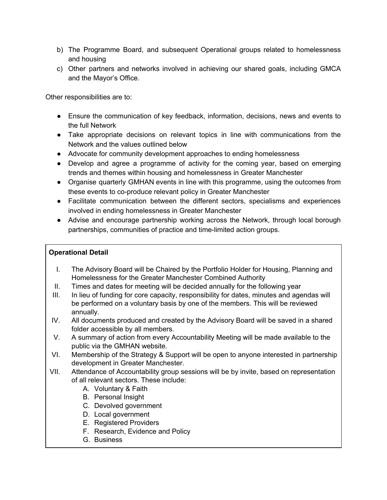- b) The Programme Board, and subsequent Operational groups related to homelessness and housing
- c) Other partners and networks involved in achieving our shared goals, including GMCA and the Mayor's Office.

Other responsibilities are to:

- Ensure the communication of key feedback, information, decisions, news and events to the full Network
- Take appropriate decisions on relevant topics in line with communications from the Network and the values outlined below
- Advocate for community development approaches to ending homelessness
- Develop and agree a programme of activity for the coming year, based on emerging trends and themes within housing and homelessness in Greater Manchester
- Organise quarterly GMHAN events in line with this programme, using the outcomes from these events to co-produce relevant policy in Greater Manchester
- Facilitate communication between the different sectors, specialisms and experiences involved in ending homelessness in Greater Manchester
- Advise and encourage partnership working across the Network, through local borough partnerships, communities of practice and time-limited action groups.

#### **Operational Detail**

- I. The Advisory Board will be Chaired by the Portfolio Holder for Housing, Planning and Homelessness for the Greater Manchester Combined Authority
- II. Times and dates for meeting will be decided annually for the following year
- III. In lieu of funding for core capacity, responsibility for dates, minutes and agendas will be performed on a voluntary basis by one of the members. This will be reviewed annually.
- IV. All documents produced and created by the Advisory Board will be saved in a shared folder accessible by all members.
- V. A summary of action from every Accountability Meeting will be made available to the public via the GMHAN website.
- VI. Membership of the Strategy & Support will be open to anyone interested in partnership development in Greater Manchester.
- VII. Attendance of Accountability group sessions will be by invite, based on representation of all relevant sectors. These include:
	- A. Voluntary & Faith
	- B. Personal Insight
	- C. Devolved government
	- D. Local government
	- E. Registered Providers
	- F. Research, Evidence and Policy
	- G. Business